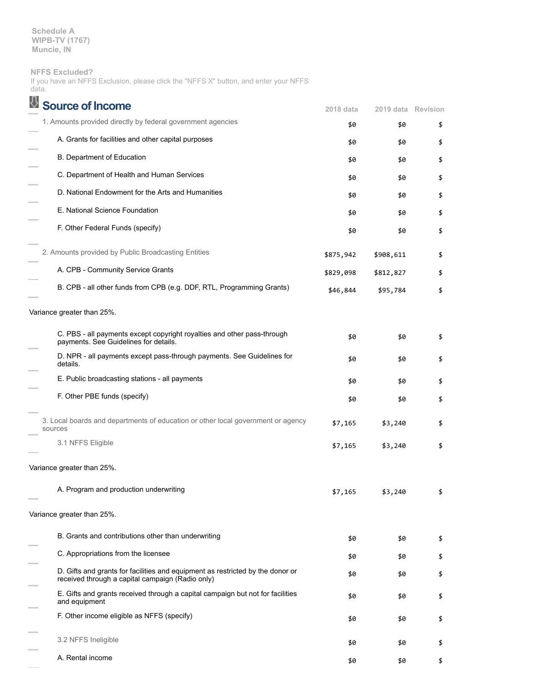**Schedule A WIPB-TV (1767) Muncie, IN**

### **NFFS Excluded?**

If you have an NFFS Exclusion, please click the "NFFS X" button, and enter your NFFS data.

| Source of Income                                                                                                                   | 2018 data | 2019 data Revision |    |
|------------------------------------------------------------------------------------------------------------------------------------|-----------|--------------------|----|
| 1. Amounts provided directly by federal government agencies                                                                        | \$0       | \$0                | \$ |
| A. Grants for facilities and other capital purposes                                                                                | \$0       | \$0                | \$ |
| B. Department of Education                                                                                                         | \$0       | \$0                | \$ |
| C. Department of Health and Human Services                                                                                         | \$0       | \$0                | \$ |
| D. National Endowment for the Arts and Humanities                                                                                  | \$0       | \$0                | \$ |
| E. National Science Foundation                                                                                                     | \$0       | \$0                | \$ |
| F. Other Federal Funds (specify)                                                                                                   | \$0       | \$0                | \$ |
| 2. Amounts provided by Public Broadcasting Entities                                                                                | \$875,942 | \$908,611          | \$ |
| A. CPB - Community Service Grants                                                                                                  | \$829,098 | \$812,827          | \$ |
| B. CPB - all other funds from CPB (e.g. DDF, RTL, Programming Grants)                                                              | \$46,844  | \$95,784           | \$ |
| Variance greater than 25%.                                                                                                         |           |                    |    |
| C. PBS - all payments except copyright royalties and other pass-through<br>payments. See Guidelines for details.                   | \$0       | \$0                | \$ |
| D. NPR - all payments except pass-through payments. See Guidelines for<br>details.                                                 | \$0       | \$0                | \$ |
| E. Public broadcasting stations - all payments                                                                                     | \$0       | \$0                | \$ |
| F. Other PBE funds (specify)                                                                                                       | \$0       | \$0                | \$ |
| 3. Local boards and departments of education or other local government or agency<br>sources                                        | \$7,165   | \$3,240            | \$ |
| 3.1 NFFS Eligible                                                                                                                  | \$7,165   | \$3,240            | \$ |
| Variance greater than 25%.                                                                                                         |           |                    |    |
| A. Program and production underwriting                                                                                             | \$7,165   | 240                |    |
| Variance greater than 25%.                                                                                                         |           |                    |    |
| B. Grants and contributions other than underwriting                                                                                | \$0       | \$0                | \$ |
| C. Appropriations from the licensee                                                                                                | \$0       | \$0                | \$ |
| D. Gifts and grants for facilities and equipment as restricted by the donor or<br>received through a capital campaign (Radio only) | \$0       | \$0                | \$ |
| E. Gifts and grants received through a capital campaign but not for facilities<br>and equipment                                    | \$0       | \$0                | \$ |
| F. Other income eligible as NFFS (specify)                                                                                         | \$0       | \$0                | \$ |
| 3.2 NFFS Ineligible                                                                                                                | \$0       | \$0                | \$ |
| A. Rental income                                                                                                                   | \$0       | \$0                | \$ |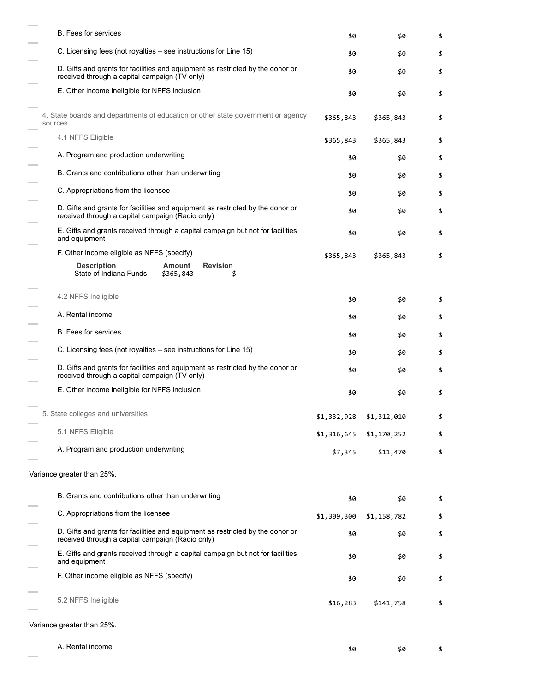| <b>B.</b> Fees for services                                                                                                        | \$0         | \$0         | \$ |
|------------------------------------------------------------------------------------------------------------------------------------|-------------|-------------|----|
| C. Licensing fees (not royalties – see instructions for Line 15)                                                                   | \$0         | \$0         | \$ |
| D. Gifts and grants for facilities and equipment as restricted by the donor or<br>received through a capital campaign (TV only)    | \$0         | \$0         | \$ |
| E. Other income ineligible for NFFS inclusion                                                                                      | \$0         | \$0         | \$ |
| 4. State boards and departments of education or other state government or agency<br>sources                                        | \$365,843   | \$365,843   | \$ |
| 4.1 NFFS Eligible                                                                                                                  | \$365,843   | \$365,843   | \$ |
| A. Program and production underwriting                                                                                             | \$0         | \$0         | \$ |
| B. Grants and contributions other than underwriting                                                                                | \$0         | \$0         | \$ |
| C. Appropriations from the licensee                                                                                                | \$0         | \$0         | \$ |
| D. Gifts and grants for facilities and equipment as restricted by the donor or<br>received through a capital campaign (Radio only) | \$0         | \$0         | \$ |
| E. Gifts and grants received through a capital campaign but not for facilities<br>and equipment                                    | \$0         | \$0         | \$ |
| F. Other income eligible as NFFS (specify)                                                                                         | \$365,843   | \$365,843   | \$ |
| <b>Description</b><br><b>Revision</b><br><b>Amount</b><br>State of Indiana Funds<br>\$365,843                                      |             |             |    |
| 4.2 NFFS Ineligible                                                                                                                | \$0         | \$0         | \$ |
| A. Rental income                                                                                                                   | \$0         | \$0         | \$ |
| <b>B.</b> Fees for services                                                                                                        | \$0         | \$0         | \$ |
| C. Licensing fees (not royalties – see instructions for Line 15)                                                                   | \$0         | \$0         | \$ |
| D. Gifts and grants for facilities and equipment as restricted by the donor or<br>received through a capital campaign (TV only)    | \$0         | \$0         | \$ |
| E. Other income ineligible for NFFS inclusion                                                                                      | \$0         | \$0         | \$ |
| 5. State colleges and universities                                                                                                 | \$1,332,928 | \$1,312,010 |    |
| 5.1 NFFS Eligible                                                                                                                  | \$1,316,645 | \$1,170,252 | \$ |
| A. Program and production underwriting                                                                                             | \$7,345     | \$11,470    | \$ |
| Variance greater than 25%.                                                                                                         |             |             |    |
| B. Grants and contributions other than underwriting                                                                                | \$0         | \$0         | \$ |
| C. Appropriations from the licensee                                                                                                | \$1,309,300 | \$1,158,782 | \$ |
| D. Gifts and grants for facilities and equipment as restricted by the donor or<br>received through a capital campaign (Radio only) | \$0         | \$0         | \$ |
| E. Gifts and grants received through a capital campaign but not for facilities<br>and equipment                                    | \$0         | \$0         | \$ |
| F. Other income eligible as NFFS (specify)                                                                                         | \$0         | \$0         | \$ |
| 5.2 NFFS Ineligible                                                                                                                | \$16,283    | \$141,758   | \$ |
| Variance greater than 25%.                                                                                                         |             |             |    |

and a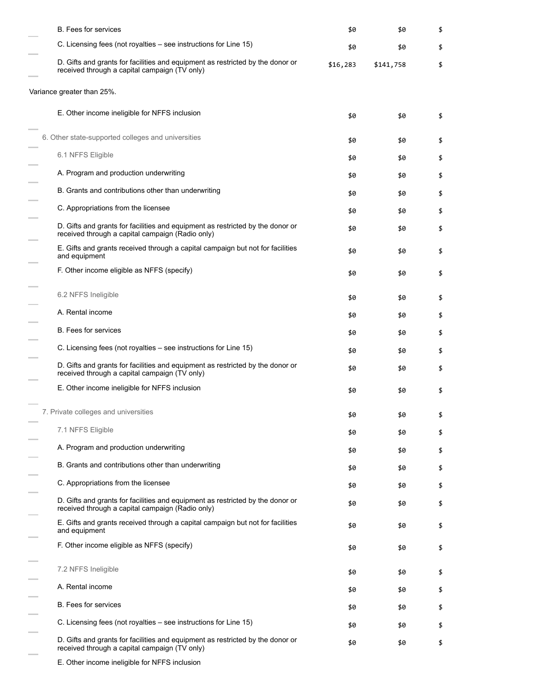| <b>B.</b> Fees for services                                                                                                        | \$0      | \$0       | \$ |
|------------------------------------------------------------------------------------------------------------------------------------|----------|-----------|----|
| C. Licensing fees (not royalties – see instructions for Line 15)                                                                   | \$0      | \$0       | \$ |
| D. Gifts and grants for facilities and equipment as restricted by the donor or<br>received through a capital campaign (TV only)    | \$16,283 | \$141,758 | \$ |
| Variance greater than 25%.                                                                                                         |          |           |    |
| E. Other income ineligible for NFFS inclusion                                                                                      | \$0      | \$0       | \$ |
| 6. Other state-supported colleges and universities                                                                                 | \$0      | \$0       | \$ |
| 6.1 NFFS Eligible                                                                                                                  | \$0      | \$0       | \$ |
| A. Program and production underwriting                                                                                             | \$0      | \$0       | \$ |
| B. Grants and contributions other than underwriting                                                                                | \$0      | \$0       | \$ |
| C. Appropriations from the licensee                                                                                                | \$0      | \$0       | \$ |
| D. Gifts and grants for facilities and equipment as restricted by the donor or<br>received through a capital campaign (Radio only) | \$0      | \$0       | \$ |
| E. Gifts and grants received through a capital campaign but not for facilities<br>and equipment                                    | \$0      | \$0       | \$ |
| F. Other income eligible as NFFS (specify)                                                                                         | \$0      | \$0       | \$ |
| 6.2 NFFS Ineligible                                                                                                                | \$0      | \$0       | \$ |
| A. Rental income                                                                                                                   | \$0      | \$0       | \$ |
| <b>B.</b> Fees for services                                                                                                        | \$0      | \$0       | \$ |
| C. Licensing fees (not royalties – see instructions for Line 15)                                                                   | \$0      | \$0       | \$ |
| D. Gifts and grants for facilities and equipment as restricted by the donor or<br>received through a capital campaign (TV only)    | \$0      | \$0       | \$ |
| E. Other income ineligible for NFFS inclusion                                                                                      | \$0      | \$0       | \$ |
| 7. Private colleges and universities                                                                                               | \$0      | \$0       | \$ |
| 7.1 NFFS Eligible                                                                                                                  | \$0      | \$0       | \$ |
| A. Program and production underwriting                                                                                             | \$0      | \$0       | \$ |
| B. Grants and contributions other than underwriting                                                                                | \$0      | \$0       | \$ |
| C. Appropriations from the licensee                                                                                                | \$0      | \$0       | \$ |
| D. Gifts and grants for facilities and equipment as restricted by the donor or<br>received through a capital campaign (Radio only) | \$0      | \$0       | \$ |
| E. Gifts and grants received through a capital campaign but not for facilities<br>and equipment                                    | \$0      | \$0       | \$ |
| F. Other income eligible as NFFS (specify)                                                                                         | \$0      | \$0       | \$ |
| 7.2 NFFS Ineligible                                                                                                                | \$0      | \$0       | \$ |
| A. Rental income                                                                                                                   | \$0      | \$0       | \$ |
| <b>B.</b> Fees for services                                                                                                        | \$0      | \$0       | \$ |
| C. Licensing fees (not royalties – see instructions for Line 15)                                                                   | \$0      | \$0       | \$ |
| D. Gifts and grants for facilities and equipment as restricted by the donor or<br>received through a capital campaign (TV only)    | \$0      | \$0       | \$ |

E. Other income ineligible for NFFS inclusion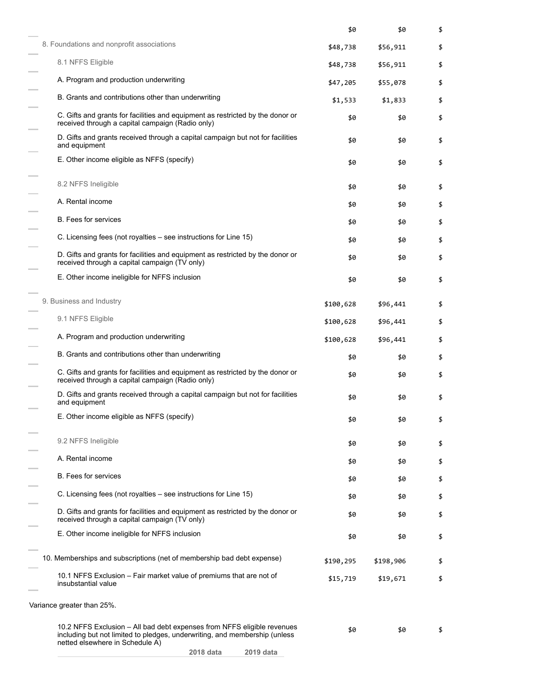|                                                                                                                                                                                          | \$0       | \$0       | \$ |
|------------------------------------------------------------------------------------------------------------------------------------------------------------------------------------------|-----------|-----------|----|
| 8. Foundations and nonprofit associations                                                                                                                                                | \$48,738  | \$56,911  | \$ |
| 8.1 NFFS Eligible                                                                                                                                                                        | \$48,738  | \$56,911  | \$ |
| A. Program and production underwriting                                                                                                                                                   | \$47,205  | \$55,078  | \$ |
| B. Grants and contributions other than underwriting                                                                                                                                      | \$1,533   | \$1,833   | \$ |
| C. Gifts and grants for facilities and equipment as restricted by the donor or<br>received through a capital campaign (Radio only)                                                       | \$0       | \$0       | \$ |
| D. Gifts and grants received through a capital campaign but not for facilities<br>and equipment                                                                                          | \$0       | \$0       | \$ |
| E. Other income eligible as NFFS (specify)                                                                                                                                               | \$0       | \$0       | \$ |
| 8.2 NFFS Ineligible                                                                                                                                                                      | \$0       | \$0       | \$ |
| A. Rental income                                                                                                                                                                         | \$0       | \$0       | \$ |
| <b>B.</b> Fees for services                                                                                                                                                              | \$0       | \$0       | \$ |
| C. Licensing fees (not royalties – see instructions for Line 15)                                                                                                                         | \$0       | \$0       | \$ |
| D. Gifts and grants for facilities and equipment as restricted by the donor or<br>received through a capital campaign (TV only)                                                          | \$0       | \$0       | \$ |
| E. Other income ineligible for NFFS inclusion                                                                                                                                            | \$0       | \$0       | \$ |
| 9. Business and Industry                                                                                                                                                                 | \$100,628 | \$96,441  | \$ |
| 9.1 NFFS Eligible                                                                                                                                                                        | \$100,628 | \$96,441  | \$ |
| A. Program and production underwriting                                                                                                                                                   | \$100,628 | \$96,441  | \$ |
| B. Grants and contributions other than underwriting                                                                                                                                      | \$0       | \$0       | \$ |
| C. Gifts and grants for facilities and equipment as restricted by the donor or<br>received through a capital campaign (Radio only)                                                       | \$0       | \$0       | \$ |
| D. Gifts and grants received through a capital campaign but not for facilities<br>and equipment                                                                                          | \$0       | \$0       | \$ |
| E. Other income eligible as NFFS (specify)                                                                                                                                               | \$0       | \$0       | \$ |
| 9.2 NFFS Ineligible                                                                                                                                                                      | \$0       | \$0       | \$ |
| A. Rental income                                                                                                                                                                         | \$0       | \$0       | \$ |
| <b>B.</b> Fees for services                                                                                                                                                              | \$0       | \$0       | \$ |
| C. Licensing fees (not royalties - see instructions for Line 15)                                                                                                                         | \$0       | \$0       | \$ |
| D. Gifts and grants for facilities and equipment as restricted by the donor or<br>received through a capital campaign (TV only)                                                          | \$0       | \$0       | \$ |
| E. Other income ineligible for NFFS inclusion                                                                                                                                            | \$0       | \$0       | \$ |
| 10. Memberships and subscriptions (net of membership bad debt expense)                                                                                                                   | \$190,295 | \$198,906 | \$ |
| 10.1 NFFS Exclusion - Fair market value of premiums that are not of<br>insubstantial value                                                                                               | \$15,719  | \$19,671  | \$ |
| Variance greater than 25%.                                                                                                                                                               |           |           |    |
| 10.2 NFFS Exclusion - All bad debt expenses from NFFS eligible revenues<br>including but not limited to pledges, underwriting, and membership (unless<br>netted elsewhere in Schedule A) | \$0       | \$0       | \$ |
| 2018 data<br>2019 data                                                                                                                                                                   |           |           |    |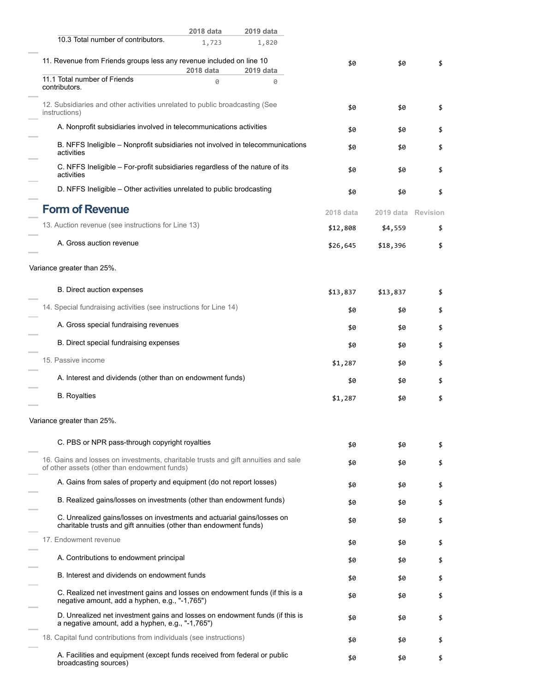|                                                                                                                                              | 2018 data | 2019 data                                                                      |           |           |          |
|----------------------------------------------------------------------------------------------------------------------------------------------|-----------|--------------------------------------------------------------------------------|-----------|-----------|----------|
| 10.3 Total number of contributors.                                                                                                           | 1,723     | 1,820                                                                          |           |           |          |
| 11. Revenue from Friends groups less any revenue included on line 10                                                                         | 2018 data | 2019 data                                                                      | \$0       | \$0       | \$       |
| 11.1 Total number of Friends<br>contributors.                                                                                                | 0         | 0                                                                              |           |           |          |
| 12. Subsidiaries and other activities unrelated to public broadcasting (See<br>instructions)                                                 |           |                                                                                | \$0       | \$0       | \$       |
| A. Nonprofit subsidiaries involved in telecommunications activities                                                                          |           |                                                                                | \$0       | \$0       | \$       |
| activities                                                                                                                                   |           | B. NFFS Ineligible - Nonprofit subsidiaries not involved in telecommunications | \$0       | \$0       | \$       |
| C. NFFS Ineligible - For-profit subsidiaries regardless of the nature of its<br>activities                                                   |           |                                                                                | \$0       | \$0       | \$       |
| D. NFFS Ineligible - Other activities unrelated to public brodcasting                                                                        |           |                                                                                | \$0       | \$0       | \$       |
| <b>Form of Revenue</b>                                                                                                                       |           |                                                                                | 2018 data | 2019 data | Revision |
| 13. Auction revenue (see instructions for Line 13)                                                                                           |           |                                                                                | \$12,808  | \$4,559   | \$       |
| A. Gross auction revenue                                                                                                                     |           |                                                                                | \$26,645  | \$18,396  | \$       |
| Variance greater than 25%.                                                                                                                   |           |                                                                                |           |           |          |
| B. Direct auction expenses                                                                                                                   |           |                                                                                | \$13,837  | \$13,837  | \$       |
| 14. Special fundraising activities (see instructions for Line 14)                                                                            |           |                                                                                | \$0       | \$0       | \$       |
| A. Gross special fundraising revenues                                                                                                        |           |                                                                                | \$0       | \$0       | \$       |
| B. Direct special fundraising expenses                                                                                                       |           |                                                                                | \$0       | \$0       | \$       |
| 15. Passive income                                                                                                                           |           |                                                                                | \$1,287   | \$0       | \$       |
| A. Interest and dividends (other than on endowment funds)                                                                                    |           |                                                                                | \$0       | \$0       | \$       |
| <b>B.</b> Royalties                                                                                                                          |           |                                                                                | \$1,287   | \$0       | \$       |
| Variance greater than 25%.                                                                                                                   |           |                                                                                |           |           |          |
| C. PBS or NPR pass-through copyright royalties                                                                                               |           |                                                                                | \$0       | \$0       | \$       |
| 16. Gains and losses on investments, charitable trusts and gift annuities and sale<br>of other assets (other than endowment funds)           |           |                                                                                | \$0       | \$0       | \$       |
| A. Gains from sales of property and equipment (do not report losses)                                                                         |           |                                                                                | \$0       | \$0       | \$       |
| B. Realized gains/losses on investments (other than endowment funds)                                                                         |           |                                                                                | \$0       | \$0       | \$       |
| C. Unrealized gains/losses on investments and actuarial gains/losses on<br>charitable trusts and gift annuities (other than endowment funds) |           |                                                                                | \$0       | \$0       | \$       |
| 17. Endowment revenue                                                                                                                        |           |                                                                                | \$0       | \$0       | \$       |
| A. Contributions to endowment principal                                                                                                      |           |                                                                                | \$0       | \$0       | \$       |
| B. Interest and dividends on endowment funds                                                                                                 |           |                                                                                | \$0       | \$0       | \$       |
| negative amount, add a hyphen, e.g., "-1,765")                                                                                               |           | C. Realized net investment gains and losses on endowment funds (if this is a   | \$0       | \$0       | \$       |
| a negative amount, add a hyphen, e.g., "-1,765")                                                                                             |           | D. Unrealized net investment gains and losses on endowment funds (if this is   | \$0       | \$0       | \$       |
| 18. Capital fund contributions from individuals (see instructions)                                                                           |           |                                                                                | \$0       | \$0       | \$       |
| A. Facilities and equipment (except funds received from federal or public<br>broadcasting sources)                                           |           |                                                                                | \$0       | \$0       | \$       |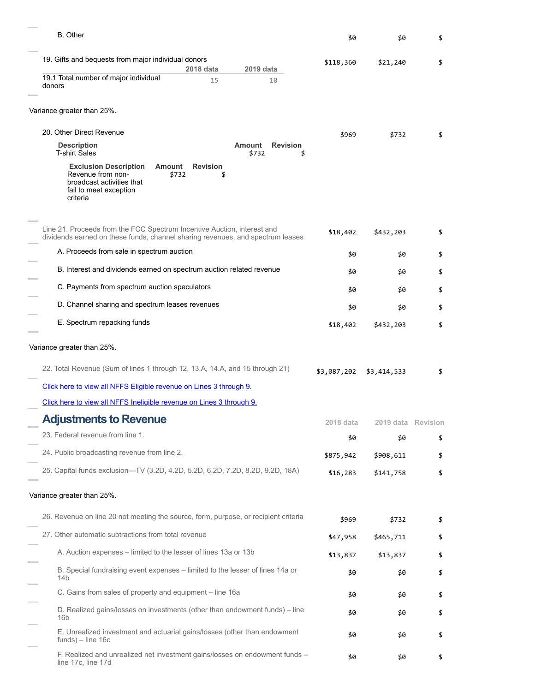| <b>B.</b> Other                                                                                                                                                  | \$0         | \$0                | \$ |
|------------------------------------------------------------------------------------------------------------------------------------------------------------------|-------------|--------------------|----|
| 19. Gifts and bequests from major individual donors                                                                                                              | \$118,360   | \$21,240           | \$ |
| 2018 data<br>2019 data<br>19.1 Total number of major individual<br>15<br>10<br>donors                                                                            |             |                    |    |
| Variance greater than 25%.                                                                                                                                       |             |                    |    |
| 20. Other Direct Revenue                                                                                                                                         | \$969       | \$732              | \$ |
| <b>Amount</b><br><b>Revision</b><br><b>Description</b><br><b>T-shirt Sales</b><br>\$732<br>\$                                                                    |             |                    |    |
| <b>Revision</b><br><b>Exclusion Description</b><br>Amount<br>Revenue from non-<br>\$732<br>\$<br>broadcast activities that<br>fail to meet exception<br>criteria |             |                    |    |
| Line 21. Proceeds from the FCC Spectrum Incentive Auction, interest and<br>dividends earned on these funds, channel sharing revenues, and spectrum leases        | \$18,402    | \$432,203          | \$ |
| A. Proceeds from sale in spectrum auction                                                                                                                        | \$0         | \$0                | \$ |
| B. Interest and dividends earned on spectrum auction related revenue                                                                                             | \$0         | \$0                | \$ |
| C. Payments from spectrum auction speculators                                                                                                                    | \$0         | \$0                | \$ |
| D. Channel sharing and spectrum leases revenues                                                                                                                  | \$0         | \$0                | \$ |
| E. Spectrum repacking funds                                                                                                                                      | \$18,402    | \$432,203          | \$ |
| Variance greater than 25%.                                                                                                                                       |             |                    |    |
| 22. Total Revenue (Sum of lines 1 through 12, 13.A, 14.A, and 15 through 21)                                                                                     | \$3,087,202 | \$3,414,533        | \$ |
| Click here to view all NFFS Eligible revenue on Lines 3 through 9.                                                                                               |             |                    |    |
| Click here to view all NFFS Ineligible revenue on Lines 3 through 9.                                                                                             |             |                    |    |
| <b>Adjustments to Revenue</b>                                                                                                                                    | 2018 data   | 2019 data Revision |    |
| 23. Federal revenue from line 1.                                                                                                                                 | \$0         | \$0                | \$ |
| 24. Public broadcasting revenue from line 2.                                                                                                                     | \$875,942   | \$908,611          | \$ |
| 25. Capital funds exclusion-TV (3.2D, 4.2D, 5.2D, 6.2D, 7.2D, 8.2D, 9.2D, 18A)                                                                                   | \$16,283    | \$141,758          | \$ |
| Variance greater than 25%.                                                                                                                                       |             |                    |    |
| 26. Revenue on line 20 not meeting the source, form, purpose, or recipient criteria                                                                              | \$969       | \$732              | \$ |
| 27. Other automatic subtractions from total revenue                                                                                                              | \$47,958    | \$465,711          | \$ |
| A. Auction expenses - limited to the lesser of lines 13a or 13b                                                                                                  | \$13,837    | \$13,837           | \$ |
| B. Special fundraising event expenses – limited to the lesser of lines 14a or<br>14b                                                                             | \$0         | \$0                | \$ |
| C. Gains from sales of property and equipment - line 16a                                                                                                         | \$0         | \$0                | \$ |
| D. Realized gains/losses on investments (other than endowment funds) - line<br>16 <sub>b</sub>                                                                   | \$0         | \$0                | \$ |
| E. Unrealized investment and actuarial gains/losses (other than endowment<br>$funds$ ) – line 16c                                                                | \$0         | \$0                | \$ |
| F. Realized and unrealized net investment gains/losses on endowment funds -<br>line 17c, line 17d                                                                | \$0         | \$0                | \$ |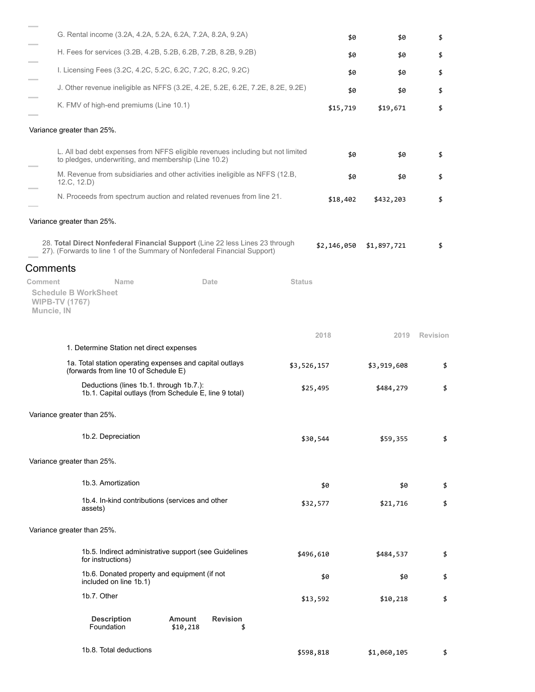|                                                | G. Rental income (3.2A, 4.2A, 5.2A, 6.2A, 7.2A, 8.2A, 9.2A)                                                                                              |               | \$0         | \$0         | \$              |
|------------------------------------------------|----------------------------------------------------------------------------------------------------------------------------------------------------------|---------------|-------------|-------------|-----------------|
|                                                | H. Fees for services (3.2B, 4.2B, 5.2B, 6.2B, 7.2B, 8.2B, 9.2B)                                                                                          |               | \$0         | \$0         | \$              |
|                                                | I. Licensing Fees (3.2C, 4.2C, 5.2C, 6.2C, 7.2C, 8.2C, 9.2C)                                                                                             |               | \$0         | \$0         | \$              |
|                                                | J. Other revenue ineligible as NFFS (3.2E, 4.2E, 5.2E, 6.2E, 7.2E, 8.2E, 9.2E)                                                                           |               | \$0         | \$0         | \$              |
|                                                | K. FMV of high-end premiums (Line 10.1)                                                                                                                  |               | \$15,719    | \$19,671    | \$              |
| Variance greater than 25%.                     |                                                                                                                                                          |               |             |             |                 |
|                                                | L. All bad debt expenses from NFFS eligible revenues including but not limited<br>to pledges, underwriting, and membership (Line 10.2)                   |               | \$0         | \$0         | \$              |
|                                                | M. Revenue from subsidiaries and other activities ineligible as NFFS (12.B,<br>12.C, 12.D                                                                |               | \$0         | \$0         | \$              |
|                                                | N. Proceeds from spectrum auction and related revenues from line 21.                                                                                     |               | \$18,402    | \$432,203   | \$              |
| Variance greater than 25%.                     |                                                                                                                                                          |               |             |             |                 |
|                                                | 28. Total Direct Nonfederal Financial Support (Line 22 less Lines 23 through<br>27). (Forwards to line 1 of the Summary of Nonfederal Financial Support) |               | \$2,146,050 | \$1,897,721 | \$              |
| Comments                                       |                                                                                                                                                          |               |             |             |                 |
| Comment<br><b>WIPB-TV (1767)</b><br>Muncie, IN | Name<br>Date<br><b>Schedule B WorkSheet</b>                                                                                                              | <b>Status</b> |             |             |                 |
|                                                |                                                                                                                                                          |               | 2018        | 2019        | <b>Revision</b> |
|                                                | 1. Determine Station net direct expenses                                                                                                                 |               |             |             |                 |
|                                                | 1a. Total station operating expenses and capital outlays<br>(forwards from line 10 of Schedule E)                                                        |               | \$3,526,157 | \$3,919,608 | \$              |
|                                                | Deductions (lines 1b.1. through 1b.7.):<br>1b.1. Capital outlays (from Schedule E, line 9 total)                                                         |               | \$25,495    | \$484,279   | \$              |
| Variance greater than 25%.                     |                                                                                                                                                          |               |             |             |                 |
|                                                | 1b.2. Depreciation                                                                                                                                       |               | \$30,544    | \$59,355    | \$              |
| Variance greater than 25%.                     |                                                                                                                                                          |               |             |             |                 |
|                                                | 1b.3. Amortization                                                                                                                                       |               | \$0         | \$0         | \$              |
|                                                | 1b.4. In-kind contributions (services and other<br>assets)                                                                                               |               | \$32,577    | \$21,716    | \$              |
| Variance greater than 25%.                     |                                                                                                                                                          |               |             |             |                 |
|                                                | 1b.5. Indirect administrative support (see Guidelines<br>for instructions)                                                                               |               | \$496,610   | \$484,537   | \$              |
|                                                | 1b.6. Donated property and equipment (if not<br>included on line 1b.1)                                                                                   |               | \$0         | \$0         | \$              |
|                                                | 1b.7. Other                                                                                                                                              |               | \$13,592    | \$10,218    | \$              |
|                                                | <b>Description</b><br><b>Amount</b><br><b>Revision</b><br>Foundation<br>\$10,218<br>\$                                                                   |               |             |             |                 |
|                                                | 1b.8. Total deductions                                                                                                                                   |               | \$598,818   | \$1,060,105 |                 |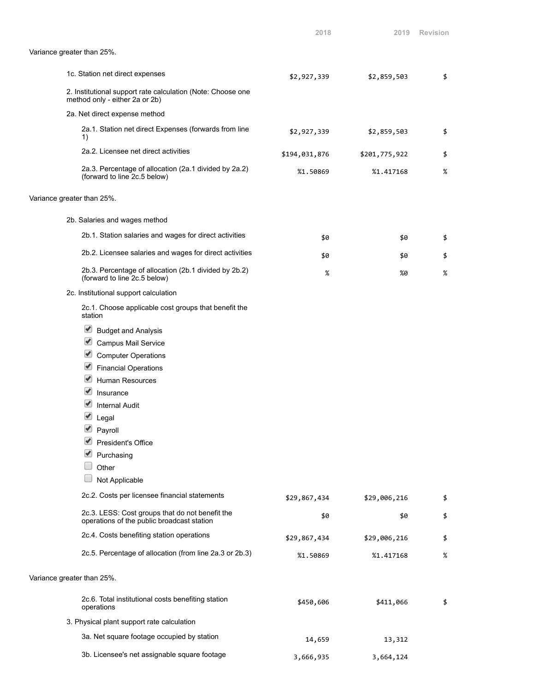|                                                                                               | 2018          | 2019          | <b>Revision</b> |
|-----------------------------------------------------------------------------------------------|---------------|---------------|-----------------|
| Variance greater than 25%.                                                                    |               |               |                 |
| 1c. Station net direct expenses                                                               | \$2,927,339   | \$2,859,503   | \$              |
| 2. Institutional support rate calculation (Note: Choose one<br>method only - either 2a or 2b) |               |               |                 |
| 2a. Net direct expense method                                                                 |               |               |                 |
| 2a.1. Station net direct Expenses (forwards from line<br>1)                                   | \$2,927,339   | \$2,859,503   | \$              |
| 2a.2. Licensee net direct activities                                                          | \$194,031,876 | \$201,775,922 | \$              |
| 2a.3. Percentage of allocation (2a.1 divided by 2a.2)<br>(forward to line 2c.5 below)         | %1.50869      | %1.417168     | %               |
| Variance greater than 25%.                                                                    |               |               |                 |
| 2b. Salaries and wages method                                                                 |               |               |                 |
| 2b.1. Station salaries and wages for direct activities                                        | \$0           | \$0           | \$              |
| 2b.2. Licensee salaries and wages for direct activities                                       | \$0           | \$0           | \$              |
| 2b.3. Percentage of allocation (2b.1 divided by 2b.2)<br>(forward to line 2c.5 below)         | %             | %0            | $\%$            |
| 2c. Institutional support calculation                                                         |               |               |                 |
| 2c.1. Choose applicable cost groups that benefit the<br>station                               |               |               |                 |
| ✔<br><b>Budget and Analysis</b>                                                               |               |               |                 |
| V<br><b>Campus Mail Service</b>                                                               |               |               |                 |
| <b>Computer Operations</b>                                                                    |               |               |                 |
| $\blacktriangledown$<br><b>Financial Operations</b>                                           |               |               |                 |
| ✔<br><b>Human Resources</b>                                                                   |               |               |                 |
| Insurance                                                                                     |               |               |                 |
| <b>Internal Audit</b>                                                                         |               |               |                 |
| ✔<br>Legal                                                                                    |               |               |                 |
| $\blacktriangledown$<br>Payroll                                                               |               |               |                 |
| President's Office                                                                            |               |               |                 |
| Purchasing                                                                                    |               |               |                 |
| Other                                                                                         |               |               |                 |
| Not Applicable                                                                                |               |               |                 |
| 2c.2. Costs per licensee financial statements                                                 | \$29,867,434  | \$29,006,216  | \$              |
| 2c.3. LESS: Cost groups that do not benefit the<br>operations of the public broadcast station | \$0           | \$0           | \$              |
| 2c.4. Costs benefiting station operations                                                     | \$29,867,434  | \$29,006,216  | \$              |
| 2c.5. Percentage of allocation (from line 2a.3 or 2b.3)                                       | %1.50869      | %1.417168     | %               |
| Variance greater than 25%.                                                                    |               |               |                 |
| 2c.6. Total institutional costs benefiting station<br>operations                              | \$450,606     | \$411,066     | \$              |
| 3. Physical plant support rate calculation                                                    |               |               |                 |
| 3a. Net square footage occupied by station                                                    | 14,659        | 13,312        |                 |
| 3b. Licensee's net assignable square footage                                                  | 3,666,935     | 3,664,124     |                 |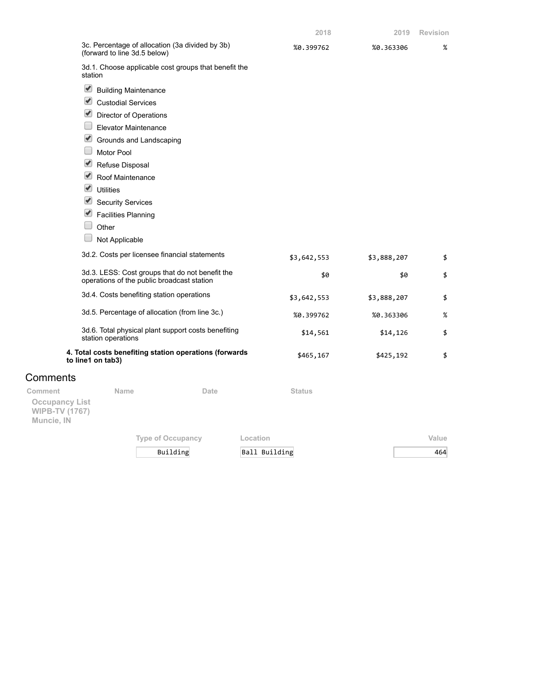|                                                                         | 3c. Percentage of allocation (3a divided by 3b)<br>(forward to line 3d.5 below)               |                          | %0.399762     | %0.363306   | $\%$  |
|-------------------------------------------------------------------------|-----------------------------------------------------------------------------------------------|--------------------------|---------------|-------------|-------|
|                                                                         | 3d.1. Choose applicable cost groups that benefit the<br>station                               |                          |               |             |       |
|                                                                         | Building Maintenance                                                                          |                          |               |             |       |
|                                                                         | $\blacktriangleright$<br><b>Custodial Services</b>                                            |                          |               |             |       |
|                                                                         | $\blacktriangleright$<br>Director of Operations                                               |                          |               |             |       |
|                                                                         | <b>Elevator Maintenance</b>                                                                   |                          |               |             |       |
|                                                                         | Grounds and Landscaping                                                                       |                          |               |             |       |
|                                                                         | <b>Motor Pool</b>                                                                             |                          |               |             |       |
|                                                                         | $\blacktriangleright$<br>Refuse Disposal                                                      |                          |               |             |       |
|                                                                         | $\blacktriangleright$<br>Roof Maintenance                                                     |                          |               |             |       |
|                                                                         | $\blacktriangledown$<br><b>Utilities</b>                                                      |                          |               |             |       |
|                                                                         | $\blacktriangleright$<br><b>Security Services</b>                                             |                          |               |             |       |
|                                                                         | Facilities Planning                                                                           |                          |               |             |       |
|                                                                         | Other                                                                                         |                          |               |             |       |
|                                                                         | Not Applicable                                                                                |                          |               |             |       |
|                                                                         | 3d.2. Costs per licensee financial statements                                                 |                          | \$3,642,553   | \$3,888,207 | \$    |
|                                                                         | 3d.3. LESS: Cost groups that do not benefit the<br>operations of the public broadcast station |                          | \$0           | \$0         | \$    |
|                                                                         | 3d.4. Costs benefiting station operations                                                     |                          | \$3,642,553   | \$3,888,207 | \$    |
|                                                                         | 3d.5. Percentage of allocation (from line 3c.)                                                |                          | %0.399762     | %0.363306   | $\%$  |
|                                                                         | 3d.6. Total physical plant support costs benefiting<br>station operations                     |                          | \$14,561      | \$14,126    | \$    |
|                                                                         | 4. Total costs benefiting station operations (forwards<br>to line1 on tab3)                   |                          | \$465,167     | \$425,192   | \$    |
| Comments                                                                |                                                                                               |                          |               |             |       |
| Comment<br><b>Occupancy List</b><br><b>WIPB-TV (1767)</b><br>Muncie, IN | Name                                                                                          | Date                     | <b>Status</b> |             |       |
|                                                                         |                                                                                               | <b>Type of Occupancy</b> | Location      |             | Value |

Building Ball Building 464

**2018 2019 Revision**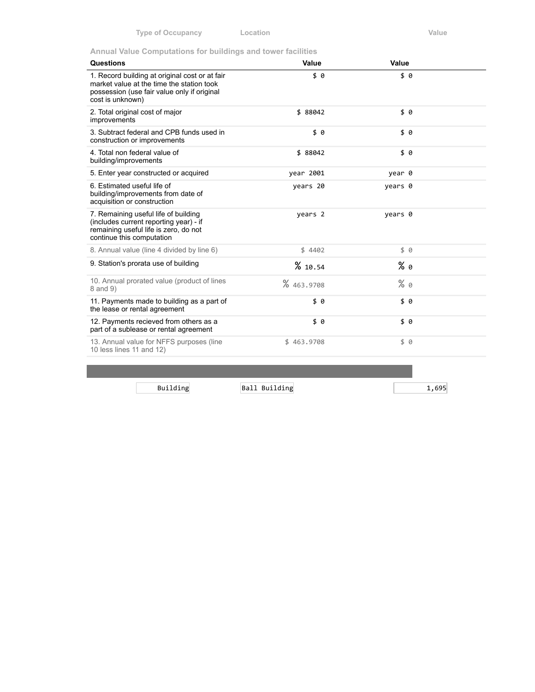**Annual Value Computations for buildings and tower facilities**

| <b>Questions</b>                                                                                                                                               | Value      | Value   |  |
|----------------------------------------------------------------------------------------------------------------------------------------------------------------|------------|---------|--|
| 1. Record building at original cost or at fair<br>market value at the time the station took<br>possession (use fair value only if original<br>cost is unknown) | \$ 0       | \$0     |  |
| 2. Total original cost of major<br>improvements                                                                                                                | \$ 88042   | \$ 0    |  |
| 3. Subtract federal and CPB funds used in<br>construction or improvements                                                                                      | \$0        | \$0     |  |
| 4. Total non federal value of<br>building/improvements                                                                                                         | \$ 88042   | \$ 0    |  |
| 5. Enter year constructed or acquired                                                                                                                          | year 2001  | year 0  |  |
| 6. Estimated useful life of<br>building/improvements from date of<br>acquisition or construction                                                               | years 20   | years 0 |  |
| 7. Remaining useful life of building<br>(includes current reporting year) - if<br>remaining useful life is zero, do not<br>continue this computation           | years 2    | years 0 |  |
| 8. Annual value (line 4 divided by line 6)                                                                                                                     | \$4402     | \$ 0    |  |
| 9. Station's prorata use of building                                                                                                                           | % 10.54    | % 0     |  |
| 10. Annual prorated value (product of lines<br>8 and 9)                                                                                                        | % 463.9708 | $%$ 0   |  |
| 11. Payments made to building as a part of<br>the lease or rental agreement                                                                                    | \$0        | \$0     |  |
| 12. Payments recieved from others as a<br>part of a sublease or rental agreement                                                                               | \$0        | \$0     |  |
| 13. Annual value for NFFS purposes (line<br>10 less lines 11 and 12)                                                                                           | \$463.9708 | \$ 0    |  |

Building Ball Building 1,695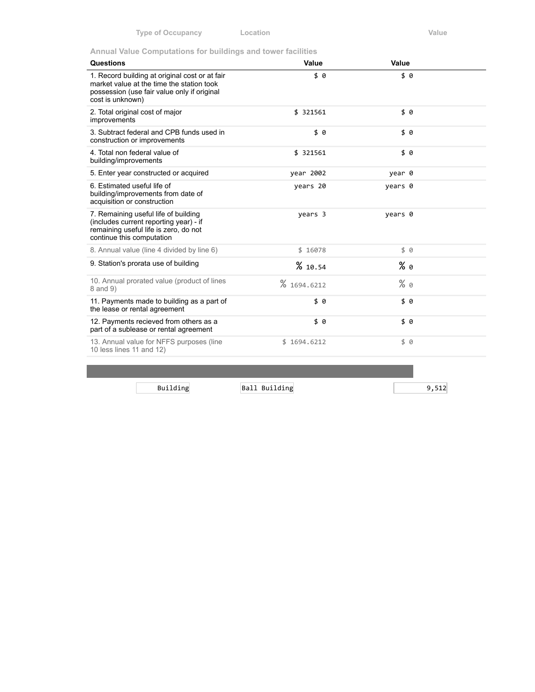**Annual Value Computations for buildings and tower facilities**

| Questions                                                                                                                                                      | Value       | Value   |  |
|----------------------------------------------------------------------------------------------------------------------------------------------------------------|-------------|---------|--|
| 1. Record building at original cost or at fair<br>market value at the time the station took<br>possession (use fair value only if original<br>cost is unknown) | \$ 0        | \$ 0    |  |
| 2. Total original cost of major<br>improvements                                                                                                                | \$ 321561   | \$0     |  |
| 3. Subtract federal and CPB funds used in<br>construction or improvements                                                                                      | \$0         | \$0     |  |
| 4. Total non federal value of<br>building/improvements                                                                                                         | \$ 321561   | \$0     |  |
| 5. Enter year constructed or acquired                                                                                                                          | year 2002   | year 0  |  |
| 6. Estimated useful life of<br>building/improvements from date of<br>acquisition or construction                                                               | years 20    | years 0 |  |
| 7. Remaining useful life of building<br>(includes current reporting year) - if<br>remaining useful life is zero, do not<br>continue this computation           | years 3     | years 0 |  |
| 8. Annual value (line 4 divided by line 6)                                                                                                                     | \$16078     | \$0     |  |
| 9. Station's prorata use of building                                                                                                                           | %10.54      | % 0     |  |
| 10. Annual prorated value (product of lines<br>8 and 9)                                                                                                        | % 1694.6212 | $%$ 0   |  |
| 11. Payments made to building as a part of<br>the lease or rental agreement                                                                                    | \$0         | \$ 0    |  |
| 12. Payments recieved from others as a<br>part of a sublease or rental agreement                                                                               | \$0         | \$0     |  |
| 13. Annual value for NFFS purposes (line<br>10 less lines 11 and 12)                                                                                           | \$1694.6212 | 50      |  |
|                                                                                                                                                                |             |         |  |

Building Ball Building 9,512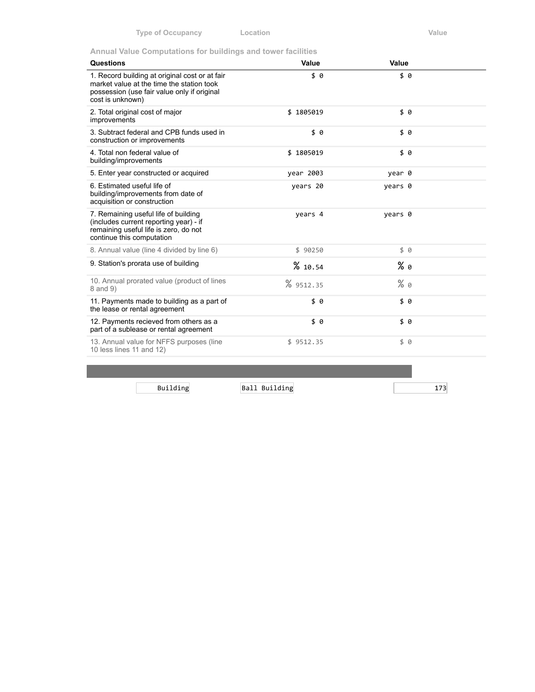**Annual Value Computations for buildings and tower facilities**

| <b>Questions</b>                                                                                                                                               | Value     | Value   |  |
|----------------------------------------------------------------------------------------------------------------------------------------------------------------|-----------|---------|--|
| 1. Record building at original cost or at fair<br>market value at the time the station took<br>possession (use fair value only if original<br>cost is unknown) | \$0       | \$0     |  |
| 2. Total original cost of major<br>improvements                                                                                                                | \$1805019 | \$0     |  |
| 3. Subtract federal and CPB funds used in<br>construction or improvements                                                                                      | \$0       | \$0     |  |
| 4. Total non federal value of<br>building/improvements                                                                                                         | \$1805019 | \$0     |  |
| 5. Enter year constructed or acquired                                                                                                                          | year 2003 | year 0  |  |
| 6. Estimated useful life of<br>building/improvements from date of<br>acquisition or construction                                                               | years 20  | years 0 |  |
| 7. Remaining useful life of building<br>(includes current reporting year) - if<br>remaining useful life is zero, do not<br>continue this computation           | years 4   | years 0 |  |
| 8. Annual value (line 4 divided by line 6)                                                                                                                     | \$90250   | \$0     |  |
| 9. Station's prorata use of building                                                                                                                           | % 10.54   | % 0     |  |
| 10. Annual prorated value (product of lines<br>8 and 9)                                                                                                        | % 9512.35 | $%$ 0   |  |
| 11. Payments made to building as a part of<br>the lease or rental agreement                                                                                    | \$0       | \$0     |  |
| 12. Payments recieved from others as a<br>part of a sublease or rental agreement                                                                               | \$0       | \$0     |  |
| 13. Annual value for NFFS purposes (line<br>10 less lines 11 and 12)                                                                                           | \$9512.35 | \$ 0    |  |
|                                                                                                                                                                |           |         |  |

Building Ball Building 173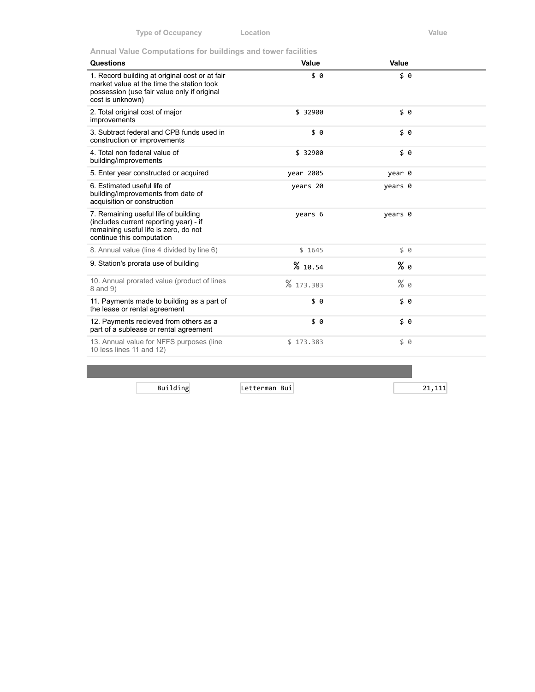**Annual Value Computations for buildings and tower facilities**

| <b>Questions</b>                                                                                                                                               | Value     | Value   |  |
|----------------------------------------------------------------------------------------------------------------------------------------------------------------|-----------|---------|--|
| 1. Record building at original cost or at fair<br>market value at the time the station took<br>possession (use fair value only if original<br>cost is unknown) | \$0       | \$ 0    |  |
| 2. Total original cost of major<br>improvements                                                                                                                | \$ 32900  | \$0     |  |
| 3. Subtract federal and CPB funds used in<br>construction or improvements                                                                                      | \$0       | \$0     |  |
| 4. Total non federal value of<br>building/improvements                                                                                                         | \$ 32900  | \$0     |  |
| 5. Enter year constructed or acquired                                                                                                                          | year 2005 | year 0  |  |
| 6. Estimated useful life of<br>building/improvements from date of<br>acquisition or construction                                                               | years 20  | years 0 |  |
| 7. Remaining useful life of building<br>(includes current reporting year) - if<br>remaining useful life is zero, do not<br>continue this computation           | years 6   | years 0 |  |
| 8. Annual value (line 4 divided by line 6)                                                                                                                     | \$1645    | \$ 0    |  |
| 9. Station's prorata use of building                                                                                                                           | % 10.54   | % 0     |  |
| 10. Annual prorated value (product of lines<br>8 and 9)                                                                                                        | % 173.383 | $%$ 0   |  |
| 11. Payments made to building as a part of<br>the lease or rental agreement                                                                                    | \$0       | \$0     |  |
| 12. Payments recieved from others as a<br>part of a sublease or rental agreement                                                                               | \$0       | \$0     |  |
| 13. Annual value for NFFS purposes (line<br>10 less lines 11 and 12)                                                                                           | \$173.383 | 50      |  |
|                                                                                                                                                                |           |         |  |

Building Letterman Buil 21,111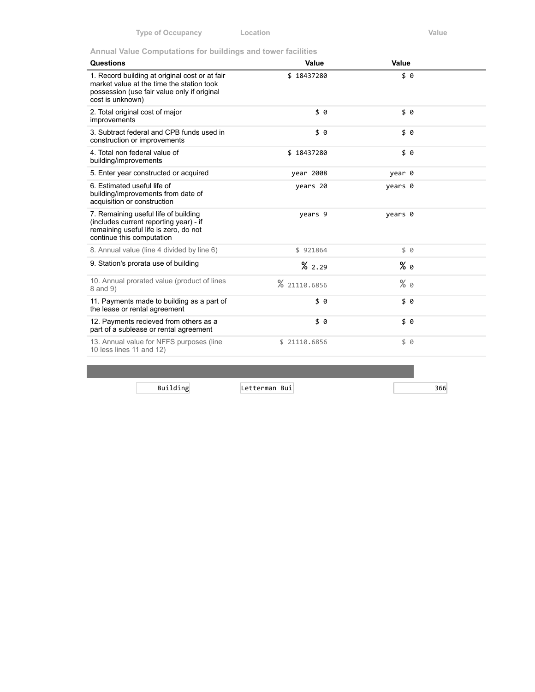**Annual Value Computations for buildings and tower facilities**

| Questions                                                                                                                                                      | Value        | Value   |  |
|----------------------------------------------------------------------------------------------------------------------------------------------------------------|--------------|---------|--|
| 1. Record building at original cost or at fair<br>market value at the time the station took<br>possession (use fair value only if original<br>cost is unknown) | \$18437280   | \$0     |  |
| 2. Total original cost of major<br>improvements                                                                                                                | \$ 0         | \$0     |  |
| 3. Subtract federal and CPB funds used in<br>construction or improvements                                                                                      | \$ 0         | \$ 0    |  |
| 4. Total non federal value of<br>building/improvements                                                                                                         | \$18437280   | \$0     |  |
| 5. Enter year constructed or acquired                                                                                                                          | year 2008    | year 0  |  |
| 6. Estimated useful life of<br>building/improvements from date of<br>acquisition or construction                                                               | years 20     | years 0 |  |
| 7. Remaining useful life of building<br>(includes current reporting year) - if<br>remaining useful life is zero, do not<br>continue this computation           | years 9      | years 0 |  |
| 8. Annual value (line 4 divided by line 6)                                                                                                                     | \$921864     | \$0     |  |
| 9. Station's prorata use of building                                                                                                                           | %2.29        | % 0     |  |
| 10. Annual prorated value (product of lines<br>8 and 9)                                                                                                        | % 21110.6856 | $%$ 0   |  |
| 11. Payments made to building as a part of<br>the lease or rental agreement                                                                                    | \$0          | \$ 0    |  |
| 12. Payments recieved from others as a<br>part of a sublease or rental agreement                                                                               | \$0          | \$0     |  |
| 13. Annual value for NFFS purposes (line<br>10 less lines 11 and 12)                                                                                           | \$21110.6856 | \$ 0    |  |
|                                                                                                                                                                |              |         |  |

Building Letterman Buil 366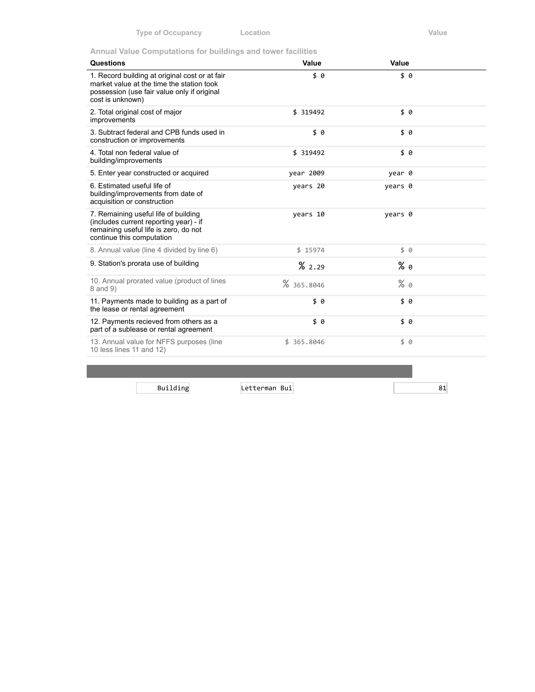**Annual Value Computations for buildings and tower facilities**

| <b>Questions</b>                                                                                                                                               | Value      | Value   |  |
|----------------------------------------------------------------------------------------------------------------------------------------------------------------|------------|---------|--|
| 1. Record building at original cost or at fair<br>market value at the time the station took<br>possession (use fair value only if original<br>cost is unknown) | \$0        | \$6     |  |
| 2. Total original cost of major<br>improvements                                                                                                                | \$ 319492  | \$0     |  |
| 3. Subtract federal and CPB funds used in<br>construction or improvements                                                                                      | \$0        | \$ 0    |  |
| 4. Total non federal value of<br>building/improvements                                                                                                         | \$ 319492  | \$0     |  |
| 5. Enter year constructed or acquired                                                                                                                          | year 2009  | year 0  |  |
| 6. Estimated useful life of<br>building/improvements from date of<br>acquisition or construction                                                               | years 20   | years 0 |  |
| 7. Remaining useful life of building<br>(includes current reporting year) - if<br>remaining useful life is zero, do not<br>continue this computation           | years 10   | years 0 |  |
| 8. Annual value (line 4 divided by line 6)                                                                                                                     | \$15974    | \$0     |  |
| 9. Station's prorata use of building                                                                                                                           | %2.29      | % 0     |  |
| 10. Annual prorated value (product of lines<br>8 and 9)                                                                                                        | % 365.8046 | $%$ 0   |  |
| 11. Payments made to building as a part of<br>the lease or rental agreement                                                                                    | \$0        | \$0     |  |
| 12. Payments recieved from others as a<br>part of a sublease or rental agreement                                                                               | \$0        | \$0     |  |
| 13. Annual value for NFFS purposes (line<br>10 less lines 11 and 12)                                                                                           | \$365.8046 | \$ 0    |  |
|                                                                                                                                                                |            |         |  |

Building Letterman Buil 81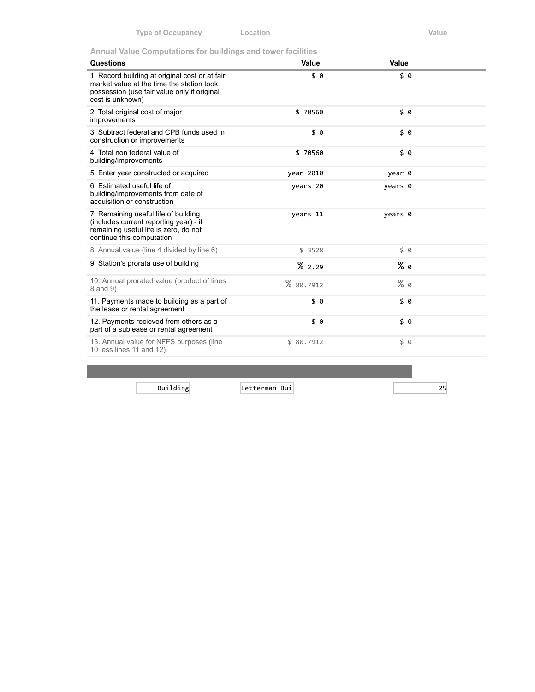**Annual Value Computations for buildings and tower facilities**

| Value     | Value   |  |
|-----------|---------|--|
| \$0       | \$0     |  |
| \$70560   | \$0     |  |
| \$0       | \$0     |  |
| \$70560   | \$0     |  |
| year 2010 | year 0  |  |
| years 20  | years 0 |  |
| years 11  | years 0 |  |
| \$3528    | \$0     |  |
| %2.29     | % 0     |  |
| % 80.7912 | $%$ 0   |  |
| \$0       | \$0     |  |
| \$0       | \$0     |  |
| \$80.7912 | \$ 0    |  |
|           |         |  |

Building Letterman Buil 25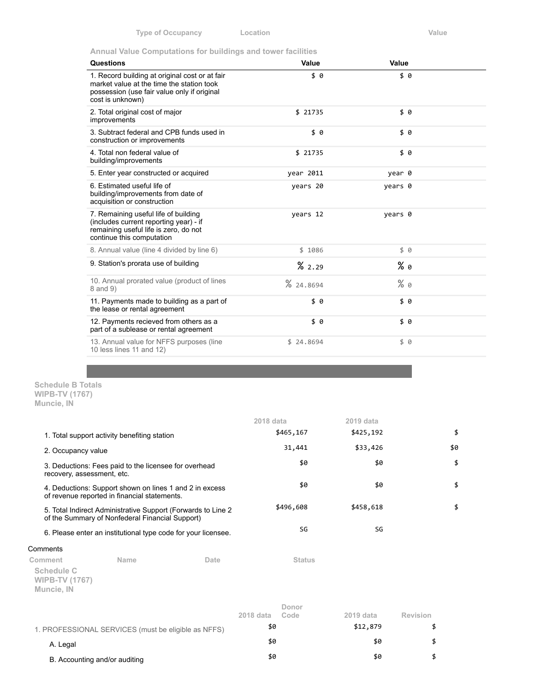**Annual Value Computations for buildings and tower facilities**

| Questions                                                                                                                                                      | Value     | Value   |  |
|----------------------------------------------------------------------------------------------------------------------------------------------------------------|-----------|---------|--|
| 1. Record building at original cost or at fair<br>market value at the time the station took<br>possession (use fair value only if original<br>cost is unknown) | \$ 0      | \$ 0    |  |
| 2. Total original cost of major<br>improvements                                                                                                                | \$21735   | \$ 0    |  |
| 3. Subtract federal and CPB funds used in<br>construction or improvements                                                                                      | \$ 0      | \$0     |  |
| 4. Total non federal value of<br>building/improvements                                                                                                         | \$21735   | \$0     |  |
| 5. Enter year constructed or acquired                                                                                                                          | year 2011 | year 0  |  |
| 6. Estimated useful life of<br>building/improvements from date of<br>acquisition or construction                                                               | years 20  | years 0 |  |
| 7. Remaining useful life of building<br>(includes current reporting year) - if<br>remaining useful life is zero, do not<br>continue this computation           | years 12  | years 0 |  |
| 8. Annual value (line 4 divided by line 6)                                                                                                                     | \$1086    | \$ 0    |  |
| 9. Station's prorata use of building                                                                                                                           | %2.29     | $%$ 0   |  |
| 10. Annual prorated value (product of lines<br>8 and 9)                                                                                                        | % 24.8694 | $%$ 0   |  |
| 11. Payments made to building as a part of<br>the lease or rental agreement                                                                                    | \$ 0      | \$0     |  |
| 12. Payments recieved from others as a<br>part of a sublease or rental agreement                                                                               | \$0       | \$0     |  |
| 13. Annual value for NFFS purposes (line<br>10 less lines 11 and 12)                                                                                           | \$24.8694 | 50      |  |

**Schedule B Totals WIPB-TV (1767) Muncie, IN**

|                                                                                                                  |                                                                                                         |           | 2018 data     | 2019 data |     |
|------------------------------------------------------------------------------------------------------------------|---------------------------------------------------------------------------------------------------------|-----------|---------------|-----------|-----|
|                                                                                                                  | 1. Total support activity benefiting station                                                            |           | \$465,167     | \$425,192 | \$  |
| 2. Occupancy value                                                                                               |                                                                                                         |           | 31,441        | \$33,426  | \$0 |
| recovery, assessment, etc.                                                                                       | 3. Deductions: Fees paid to the licensee for overhead                                                   |           | \$0           | \$0       | \$  |
|                                                                                                                  | 4. Deductions: Support shown on lines 1 and 2 in excess<br>of revenue reported in financial statements. |           | \$0           | \$0       | \$  |
| 5. Total Indirect Administrative Support (Forwards to Line 2)<br>of the Summary of Nonfederal Financial Support) |                                                                                                         | \$496,608 | \$458,618     | \$        |     |
|                                                                                                                  | 6. Please enter an institutional type code for your licensee.                                           |           | SG            | SG        |     |
| Comments                                                                                                         |                                                                                                         |           |               |           |     |
| Comment                                                                                                          | Name                                                                                                    | Date      | <b>Status</b> |           |     |

Co

**Schedule C WIPB-TV (1767) Muncie, IN**

|                                                     | 2018 data | Donor<br>Code | 2019 data | <b>Revision</b> |
|-----------------------------------------------------|-----------|---------------|-----------|-----------------|
| 1. PROFESSIONAL SERVICES (must be eligible as NFFS) | \$0       |               | \$12,879  |                 |
| A. Legal                                            | \$0       |               | \$0       |                 |
| B. Accounting and/or auditing                       | \$0       |               | \$0       |                 |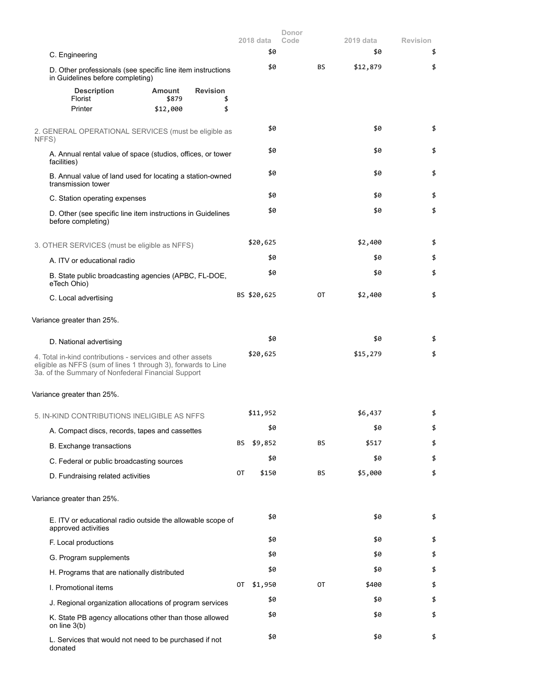|                                                                                                                                                                                   |    | 2018 data   | Donor<br>Code |    | 2019 data | <b>Revision</b> |
|-----------------------------------------------------------------------------------------------------------------------------------------------------------------------------------|----|-------------|---------------|----|-----------|-----------------|
| C. Engineering                                                                                                                                                                    |    | \$0         |               |    | \$0       | \$              |
| D. Other professionals (see specific line item instructions<br>in Guidelines before completing)                                                                                   |    | \$0         |               | BS | \$12,879  | \$              |
| <b>Description</b><br><b>Revision</b><br>Amount<br>Florist<br>\$879                                                                                                               | \$ |             |               |    |           |                 |
| Printer<br>\$12,000                                                                                                                                                               | \$ |             |               |    |           |                 |
| 2. GENERAL OPERATIONAL SERVICES (must be eligible as<br>NFFS)                                                                                                                     |    | \$0         |               |    | \$0       | \$              |
| A. Annual rental value of space (studios, offices, or tower<br>facilities)                                                                                                        |    | \$0         |               |    | \$0       | \$              |
| B. Annual value of land used for locating a station-owned<br>transmission tower                                                                                                   |    | \$0         |               |    | \$0       | \$              |
| C. Station operating expenses                                                                                                                                                     |    | \$0         |               |    | \$0       | \$              |
| D. Other (see specific line item instructions in Guidelines<br>before completing)                                                                                                 |    | \$0         |               |    | \$0       | \$              |
| 3. OTHER SERVICES (must be eligible as NFFS)                                                                                                                                      |    | \$20,625    |               |    | \$2,400   | \$              |
| A. ITV or educational radio                                                                                                                                                       |    | \$0         |               |    | \$0       | \$              |
| B. State public broadcasting agencies (APBC, FL-DOE,<br>eTech Ohio)                                                                                                               |    | \$0         |               |    | \$0       | \$              |
| C. Local advertising                                                                                                                                                              |    | BS \$20,625 |               | 0T | \$2,400   | \$              |
| Variance greater than 25%.                                                                                                                                                        |    |             |               |    |           |                 |
| D. National advertising                                                                                                                                                           |    | \$0         |               |    | \$0       | \$              |
| 4. Total in-kind contributions - services and other assets<br>eligible as NFFS (sum of lines 1 through 3), forwards to Line<br>3a. of the Summary of Nonfederal Financial Support |    | \$20,625    |               |    | \$15,279  | \$              |
| Variance greater than 25%.                                                                                                                                                        |    |             |               |    |           |                 |
| 5. IN-KIND CONTRIBUTIONS INELIGIBLE AS NFFS                                                                                                                                       |    | \$11,952    |               |    | \$6,437   | \$              |
| A. Compact discs, records, tapes and cassettes                                                                                                                                    |    | \$0         |               |    | \$0       | \$              |
| B. Exchange transactions                                                                                                                                                          | BS | \$9,852     |               | BS | \$517     | \$              |
| C. Federal or public broadcasting sources                                                                                                                                         |    | \$0         |               |    | \$0       | \$              |
| D. Fundraising related activities                                                                                                                                                 | 0T | \$150       |               | ΒS | \$5,000   | \$              |
| Variance greater than 25%.                                                                                                                                                        |    |             |               |    |           |                 |
| E. ITV or educational radio outside the allowable scope of<br>approved activities                                                                                                 |    | \$0         |               |    | \$0       | \$              |
| F. Local productions                                                                                                                                                              |    | \$0         |               |    | \$0       | \$              |
| G. Program supplements                                                                                                                                                            |    | \$0         |               |    | \$0       | \$              |
| H. Programs that are nationally distributed                                                                                                                                       |    | \$0         |               |    | \$0       | \$              |
| I. Promotional items                                                                                                                                                              | 0T | \$1,950     |               | 0T | \$400     | \$              |
| J. Regional organization allocations of program services                                                                                                                          |    | \$0         |               |    | \$0       | \$              |
| K. State PB agency allocations other than those allowed<br>on line $3(b)$                                                                                                         |    | \$0         |               |    | \$0       | \$              |
| L. Services that would not need to be purchased if not<br>donated                                                                                                                 |    | \$0         |               |    | \$0       | \$              |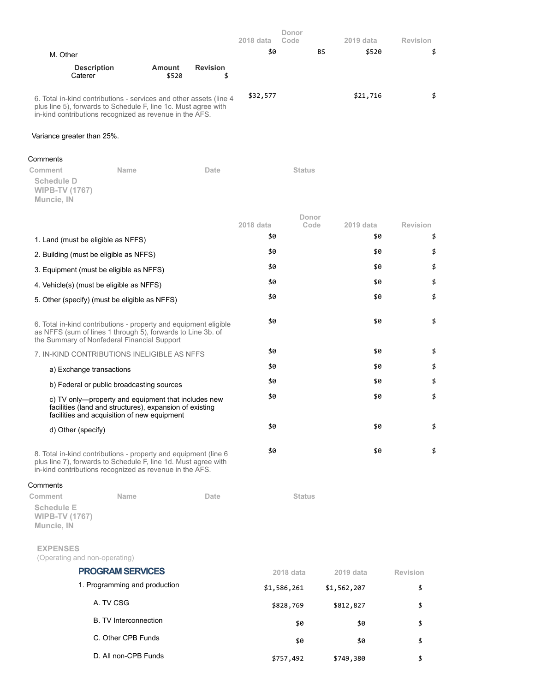|                                                                                                                                                                                                 |                 |                       | 2018 data | Donor<br>Code |    | 2019 data | <b>Revision</b> |
|-------------------------------------------------------------------------------------------------------------------------------------------------------------------------------------------------|-----------------|-----------------------|-----------|---------------|----|-----------|-----------------|
| M. Other                                                                                                                                                                                        |                 |                       | \$0       |               | BS | \$520     |                 |
| <b>Description</b><br>Caterer                                                                                                                                                                   | Amount<br>\$520 | <b>Revision</b><br>\$ |           |               |    |           |                 |
| 6. Total in-kind contributions - services and other assets (line 4<br>plus line 5), forwards to Schedule F, line 1c. Must agree with<br>in-kind contributions recognized as revenue in the AFS. |                 |                       | \$32,577  |               |    | \$21,716  | \$              |
| Variance greater than 25%.                                                                                                                                                                      |                 |                       |           |               |    |           |                 |

#### Comments

| Comment                                                  | <b>Name</b><br>Date                                                                                                                                                                           |           | <b>Status</b> |           |                 |
|----------------------------------------------------------|-----------------------------------------------------------------------------------------------------------------------------------------------------------------------------------------------|-----------|---------------|-----------|-----------------|
| <b>Schedule D</b><br><b>WIPB-TV (1767)</b><br>Muncie, IN |                                                                                                                                                                                               |           |               |           |                 |
|                                                          |                                                                                                                                                                                               |           | Donor         |           |                 |
|                                                          |                                                                                                                                                                                               | 2018 data | Code          | 2019 data | <b>Revision</b> |
| 1. Land (must be eligible as NFFS)                       |                                                                                                                                                                                               | \$0       |               | \$0       | \$              |
|                                                          | 2. Building (must be eligible as NFFS)                                                                                                                                                        | \$0       |               | \$0       | \$              |
|                                                          | 3. Equipment (must be eligible as NFFS)                                                                                                                                                       | \$0       |               | \$0       | \$              |
|                                                          | 4. Vehicle(s) (must be eligible as NFFS)                                                                                                                                                      | \$0       |               | \$0       | \$              |
|                                                          | 5. Other (specify) (must be eligible as NFFS)                                                                                                                                                 | \$0       |               | \$0       | \$              |
|                                                          | 6. Total in-kind contributions - property and equipment eligible<br>as NFFS (sum of lines 1 through 5), forwards to Line 3b. of<br>the Summary of Nonfederal Financial Support                | \$0       |               | \$0       | \$              |
|                                                          | 7. IN-KIND CONTRIBUTIONS INELIGIBLE AS NFFS                                                                                                                                                   | \$0       |               | \$0       | \$              |
| a) Exchange transactions                                 |                                                                                                                                                                                               | \$0       |               | \$0       | \$              |
|                                                          | b) Federal or public broadcasting sources                                                                                                                                                     | \$0       |               | \$0       | \$              |
|                                                          | c) TV only—property and equipment that includes new<br>facilities (land and structures), expansion of existing<br>facilities and acquisition of new equipment                                 | \$0       |               | \$0       | \$              |
| d) Other (specify)                                       |                                                                                                                                                                                               | \$0       |               | \$0       | \$              |
|                                                          | 8. Total in-kind contributions - property and equipment (line 6)<br>plus line 7), forwards to Schedule F, line 1d. Must agree with<br>in-kind contributions recognized as revenue in the AFS. | \$0       |               | \$0       | \$              |

# Comments

| Comment                                                  | Name                          | Date | <b>Status</b> |             |          |
|----------------------------------------------------------|-------------------------------|------|---------------|-------------|----------|
| <b>Schedule E</b><br><b>WIPB-TV (1767)</b><br>Muncie, IN |                               |      |               |             |          |
| <b>EXPENSES</b><br>(Operating and non-operating)         |                               |      |               |             |          |
|                                                          | <b>PROGRAM SERVICES</b>       |      | 2018 data     | 2019 data   | Revision |
|                                                          | 1. Programming and production |      | \$1,586,261   | \$1,562,207 | \$       |
|                                                          | A. TV CSG                     |      | \$828,769     | \$812,827   | \$       |

- B. TV Interconnection  $$9$  \$0  $$5$ C. Other CPB Funds  $\frac{1}{2}$  \$0 \$0 \$
- D. All non-CPB Funds \$757,492 \$757,492 \$749,380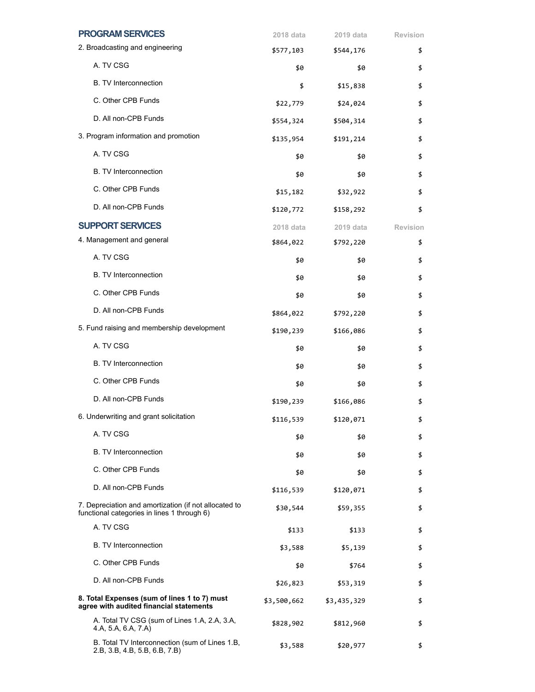| <b>PROGRAM SERVICES</b>                                                                              | 2018 data   | 2019 data   | <b>Revision</b> |
|------------------------------------------------------------------------------------------------------|-------------|-------------|-----------------|
| 2. Broadcasting and engineering                                                                      | \$577,103   | \$544,176   | \$              |
| A. TV CSG                                                                                            | \$0         | \$0         | \$              |
| <b>B. TV Interconnection</b>                                                                         | \$          | \$15,838    | \$              |
| C. Other CPB Funds                                                                                   | \$22,779    | \$24,024    | \$              |
| D. All non-CPB Funds                                                                                 | \$554,324   | \$504,314   | \$              |
| 3. Program information and promotion                                                                 | \$135,954   | \$191,214   | \$              |
| A. TV CSG                                                                                            | \$0         | \$0         | \$              |
| <b>B. TV Interconnection</b>                                                                         | \$0         | \$0         | \$              |
| C. Other CPB Funds                                                                                   | \$15,182    | \$32,922    | \$              |
| D. All non-CPB Funds                                                                                 | \$120,772   | \$158,292   | \$              |
| <b>SUPPORT SERVICES</b>                                                                              | 2018 data   | 2019 data   | <b>Revision</b> |
| 4. Management and general                                                                            | \$864,022   | \$792,220   | \$              |
| A. TV CSG                                                                                            | \$0         | \$0         | \$              |
| <b>B.</b> TV Interconnection                                                                         | \$0         | \$0         | \$              |
| C. Other CPB Funds                                                                                   | \$0         | \$0         | \$              |
| D. All non-CPB Funds                                                                                 | \$864,022   | \$792,220   | \$              |
| 5. Fund raising and membership development                                                           | \$190,239   | \$166,086   | \$              |
| A. TV CSG                                                                                            | \$0         | \$0         | \$              |
| <b>B. TV Interconnection</b>                                                                         | \$0         | \$0         | \$              |
| C. Other CPB Funds                                                                                   | \$0         | \$0         | \$              |
| D. All non-CPB Funds                                                                                 | \$190,239   | \$166,086   | \$              |
| 6. Underwriting and grant solicitation                                                               | \$116,539   | \$120,071   | \$              |
| A. TV CSG                                                                                            | \$0         | \$0         | \$              |
| <b>B.</b> TV Interconnection                                                                         | \$0         | \$0         | \$              |
| C. Other CPB Funds                                                                                   | \$0         | \$0         | \$              |
| D. All non-CPB Funds                                                                                 | \$116,539   | \$120,071   | \$              |
| 7. Depreciation and amortization (if not allocated to<br>functional categories in lines 1 through 6) | \$30,544    | \$59,355    | \$              |
| A. TV CSG                                                                                            | \$133       | \$133       | \$              |
| <b>B.</b> TV Interconnection                                                                         | \$3,588     | \$5,139     | \$              |
| C. Other CPB Funds                                                                                   | \$0         | \$764       | \$              |
| D. All non-CPB Funds                                                                                 | \$26,823    | \$53,319    | \$              |
| 8. Total Expenses (sum of lines 1 to 7) must<br>agree with audited financial statements              | \$3,500,662 | \$3,435,329 | \$              |
| A. Total TV CSG (sum of Lines 1.A, 2.A, 3.A,<br>4.A, 5.A, 6.A, 7.A)                                  | \$828,902   | \$812,960   | \$              |
| B. Total TV Interconnection (sum of Lines 1.B,<br>2.B, 3.B, 4.B, 5.B, 6.B, 7.B)                      | \$3,588     | \$20,977    | \$              |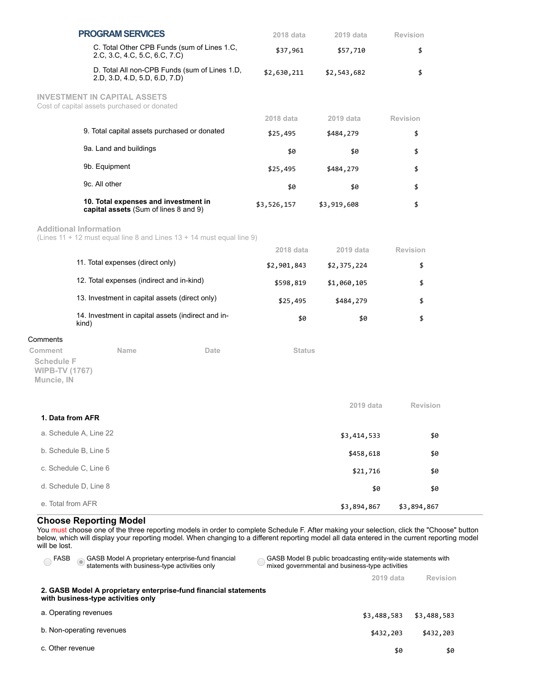|                                                                                    | <b>PROGRAM SERVICES</b>                                                        | 2018 data     | 2019 data   | <b>Revision</b> |
|------------------------------------------------------------------------------------|--------------------------------------------------------------------------------|---------------|-------------|-----------------|
|                                                                                    | C. Total Other CPB Funds (sum of Lines 1.C,<br>2.C, 3.C, 4.C, 5.C, 6.C, 7.C)   | \$37,961      | \$57,710    | \$              |
|                                                                                    | D. Total All non-CPB Funds (sum of Lines 1.D,<br>2.D, 3.D, 4.D, 5.D, 6.D, 7.D) | \$2,630,211   | \$2,543,682 | \$              |
| <b>INVESTMENT IN CAPITAL ASSETS</b><br>Cost of capital assets purchased or donated |                                                                                |               |             |                 |
|                                                                                    |                                                                                | 2018 data     | 2019 data   | <b>Revision</b> |
|                                                                                    | 9. Total capital assets purchased or donated                                   | \$25,495      | \$484,279   | \$              |
|                                                                                    | 9a. Land and buildings                                                         | \$0           | \$0         | \$              |
|                                                                                    | 9b. Equipment                                                                  | \$25,495      | \$484,279   | \$              |
|                                                                                    | 9c. All other                                                                  | \$0           | \$0         | \$              |
|                                                                                    | 10. Total expenses and investment in<br>capital assets (Sum of lines 8 and 9)  | \$3,526,157   | \$3,919,608 | \$              |
|                                                                                    | <b>Additional Information</b>                                                  |               |             |                 |
|                                                                                    | (Lines 11 + 12 must equal line 8 and Lines 13 + 14 must equal line 9)          | 2018 data     | 2019 data   | <b>Revision</b> |
|                                                                                    | 11. Total expenses (direct only)                                               | \$2,901,843   | \$2,375,224 | \$              |
|                                                                                    | 12. Total expenses (indirect and in-kind)                                      | \$598,819     | \$1,060,105 | \$              |
| 13. Investment in capital assets (direct only)                                     |                                                                                | \$25,495      | \$484,279   | \$              |
|                                                                                    | 14. Investment in capital assets (indirect and in-<br>kind)                    | \$0           | \$0         | \$              |
| Comments                                                                           |                                                                                |               |             |                 |
| Comment                                                                            | <b>Name</b><br>Date                                                            | <b>Status</b> |             |                 |
| <b>Schedule F</b><br><b>WIPB-TV (1767)</b><br>Muncie, IN                           |                                                                                |               |             |                 |
|                                                                                    |                                                                                |               | 2019 data   | Revision        |
| 1. Data from AFR                                                                   |                                                                                |               |             |                 |
| a. Schedule A, Line 22                                                             |                                                                                |               | \$3,414,533 | \$0             |
|                                                                                    | b. Schedule B, Line 5                                                          |               | \$458,618   | \$0             |
|                                                                                    | c. Schedule C, Line 6                                                          |               | \$21,716    | \$0             |
|                                                                                    | d. Schedule D, Line 8                                                          |               | \$0         | \$0             |
| e. Total from AFR                                                                  |                                                                                |               | \$3,894,867 | \$3,894,867     |

## **Choose Reporting Model**

You must choose one of the three reporting models in order to complete Schedule F. After making your selection, click the "Choose" button below, which will display your reporting model. When changing to a different reporting model all data entered in the current reporting model will be lost.

| GASB Model A proprietary enterprise-fund financial<br>FASB<br>statements with business-type activities only |             | GASB Model B public broadcasting entity-wide statements with<br>mixed governmental and business-type activities |  |  |  |  |  |
|-------------------------------------------------------------------------------------------------------------|-------------|-----------------------------------------------------------------------------------------------------------------|--|--|--|--|--|
|                                                                                                             | 2019 data   | Revision                                                                                                        |  |  |  |  |  |
| 2. GASB Model A proprietary enterprise-fund financial statements<br>with business-type activities only      |             |                                                                                                                 |  |  |  |  |  |
| a. Operating revenues                                                                                       | \$3,488,583 | \$3,488,583                                                                                                     |  |  |  |  |  |
| b. Non-operating revenues                                                                                   | \$432,203   | \$432,203                                                                                                       |  |  |  |  |  |
| c. Other revenue                                                                                            | \$0         | \$0                                                                                                             |  |  |  |  |  |